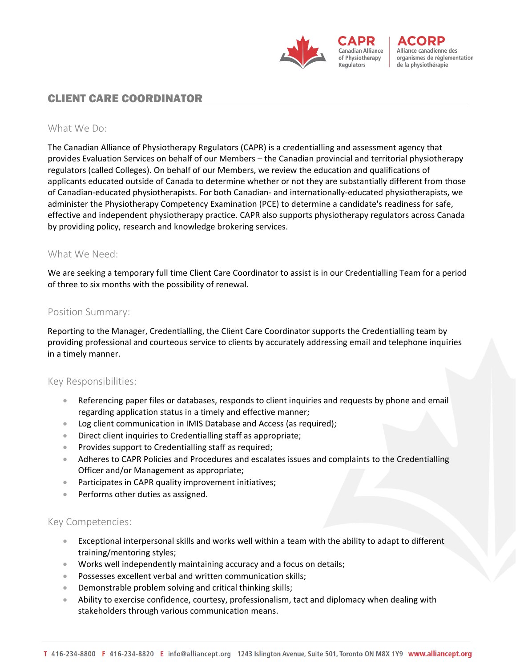

Alliance canadienne des organismes de réglementation de la physiothérapie

# CLIENT CARE COORDINATOR

### What We Do:

The Canadian Alliance of Physiotherapy Regulators (CAPR) is a credentialling and assessment agency that provides Evaluation Services on behalf of our Members – the Canadian provincial and territorial physiotherapy regulators (called Colleges). On behalf of our Members, we review the education and qualifications of applicants educated outside of Canada to determine whether or not they are substantially different from those of Canadian-educated physiotherapists. For both Canadian- and internationally-educated physiotherapists, we administer the Physiotherapy Competency Examination (PCE) to determine a candidate's readiness for safe, effective and independent physiotherapy practice. CAPR also supports physiotherapy regulators across Canada by providing policy, research and knowledge brokering services.

#### What We Need:

We are seeking a temporary full time Client Care Coordinator to assist is in our Credentialling Team for a period of three to six months with the possibility of renewal.

#### Position Summary:

Reporting to the Manager, Credentialling, the Client Care Coordinator supports the Credentialling team by providing professional and courteous service to clients by accurately addressing email and telephone inquiries in a timely manner.

#### Key Responsibilities:

- Referencing paper files or databases, responds to client inquiries and requests by phone and email regarding application status in a timely and effective manner;
- Log client communication in IMIS Database and Access (as required);
- Direct client inquiries to Credentialling staff as appropriate;
- Provides support to Credentialling staff as required;
- Adheres to CAPR Policies and Procedures and escalates issues and complaints to the Credentialling Officer and/or Management as appropriate;
- Participates in CAPR quality improvement initiatives;
- Performs other duties as assigned.

## Key Competencies:

- Exceptional interpersonal skills and works well within a team with the ability to adapt to different training/mentoring styles;
- Works well independently maintaining accuracy and a focus on details;
- Possesses excellent verbal and written communication skills;
- Demonstrable problem solving and critical thinking skills;
- Ability to exercise confidence, courtesy, professionalism, tact and diplomacy when dealing with stakeholders through various communication means.